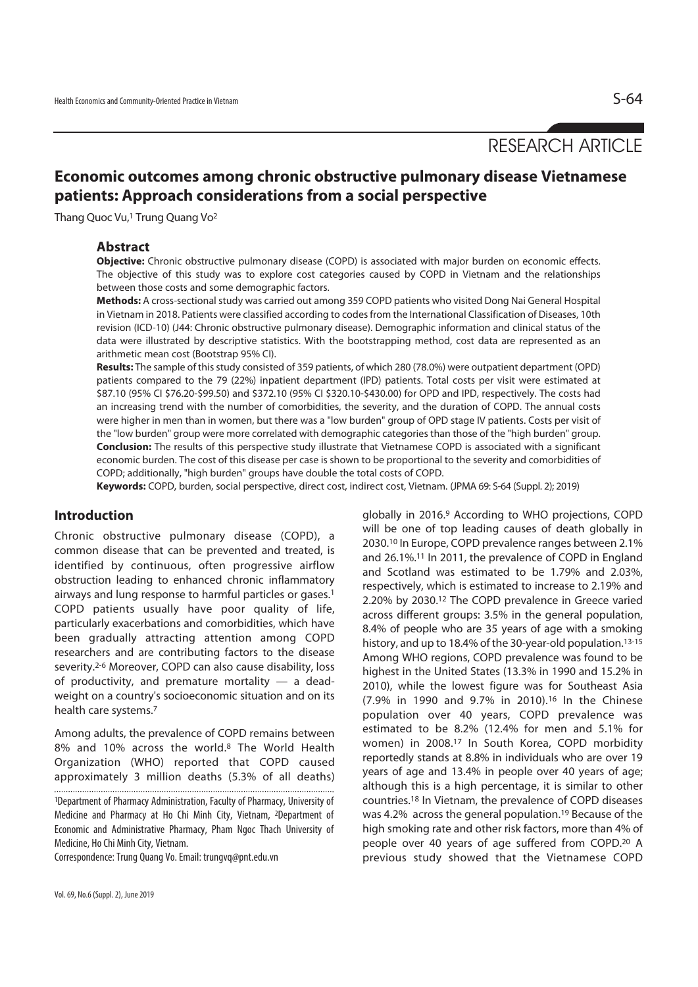# RESEARCH ARTICLE

## **Economic outcomes among chronic obstructive pulmonary disease Vietnamese patients: Approach considerations from a social perspective**

Thang Quoc Vu,<sup>1</sup> Trung Quang Vo<sup>2</sup>

### **Abstract**

**Objective:** Chronic obstructive pulmonary disease (COPD) is associated with major burden on economic effects. The objective of this study was to explore cost categories caused by COPD in Vietnam and the relationships between those costs and some demographic factors.

**Methods:** A cross-sectional study was carried out among 359 COPD patients who visited Dong Nai General Hospital in Vietnam in 2018. Patients were classified according to codes from the International Classification of Diseases, 10th revision (ICD-10) (J44: Chronic obstructive pulmonary disease). Demographic information and clinical status of the data were illustrated by descriptive statistics. With the bootstrapping method, cost data are represented as an arithmetic mean cost (Bootstrap 95% CI).

**Results:** The sample of this study consisted of 359 patients, of which 280 (78.0%) were outpatient department (OPD) patients compared to the 79 (22%) inpatient department (IPD) patients. Total costs per visit were estimated at \$87.10 (95% CI \$76.20-\$99.50) and \$372.10 (95% CI \$320.10-\$430.00) for OPD and IPD, respectively. The costs had an increasing trend with the number of comorbidities, the severity, and the duration of COPD. The annual costs were higher in men than in women, but there was a "low burden" group of OPD stage IV patients. Costs per visit of the "low burden" group were more correlated with demographic categories than those of the "high burden" group. **Conclusion:** The results of this perspective study illustrate that Vietnamese COPD is associated with a significant economic burden. The cost of this disease per case is shown to be proportional to the severity and comorbidities of COPD; additionally, "high burden" groups have double the total costs of COPD.

**Keywords:** COPD, burden, social perspective, direct cost, indirect cost, Vietnam. (JPMA 69: S-64 (Suppl. 2); 2019)

### **Introduction**

Chronic obstructive pulmonary disease (COPD), a common disease that can be prevented and treated, is identified by continuous, often progressive airflow obstruction leading to enhanced chronic inflammatory airways and lung response to harmful particles or gases.1 COPD patients usually have poor quality of life, particularly exacerbations and comorbidities, which have been gradually attracting attention among COPD researchers and are contributing factors to the disease severity.<sup>2-6</sup> Moreover, COPD can also cause disability, loss of productivity, and premature mortality  $-$  a deadweight on a country's socioeconomic situation and on its health care systems.7

Among adults, the prevalence of COPD remains between 8% and 10% across the world.8 The World Health Organization (WHO) reported that COPD caused approximately 3 million deaths (5.3% of all deaths)

Correspondence: Trung Quang Vo. Email: trungvq@pnt.edu.vn

globally in 2016.9 According to WHO projections, COPD will be one of top leading causes of death globally in 2030.10 In Europe, COPD prevalence ranges between 2.1% and 26.1%.11 In 2011, the prevalence of COPD in England and Scotland was estimated to be 1.79% and 2.03%, respectively, which is estimated to increase to 2.19% and 2.20% by 2030.12 The COPD prevalence in Greece varied across different groups: 3.5% in the general population, 8.4% of people who are 35 years of age with a smoking history, and up to 18.4% of the 30-year-old population.<sup>13-15</sup> Among WHO regions, COPD prevalence was found to be highest in the United States (13.3% in 1990 and 15.2% in 2010), while the lowest figure was for Southeast Asia (7.9% in 1990 and 9.7% in 2010).16 In the Chinese population over 40 years, COPD prevalence was estimated to be 8.2% (12.4% for men and 5.1% for women) in 2008.17 In South Korea, COPD morbidity reportedly stands at 8.8% in individuals who are over 19 years of age and 13.4% in people over 40 years of age; although this is a high percentage, it is similar to other countries.18 In Vietnam, the prevalence of COPD diseases was 4.2% across the general population.<sup>19</sup> Because of the high smoking rate and other risk factors, more than 4% of people over 40 years of age suffered from COPD.20 A previous study showed that the Vietnamese COPD

<sup>1</sup>Department of Pharmacy Administration, Faculty of Pharmacy, University of Medicine and Pharmacy at Ho Chi Minh City, Vietnam, 2Department of Economic and Administrative Pharmacy, Pham Ngoc Thach University of Medicine, Ho Chi Minh City, Vietnam.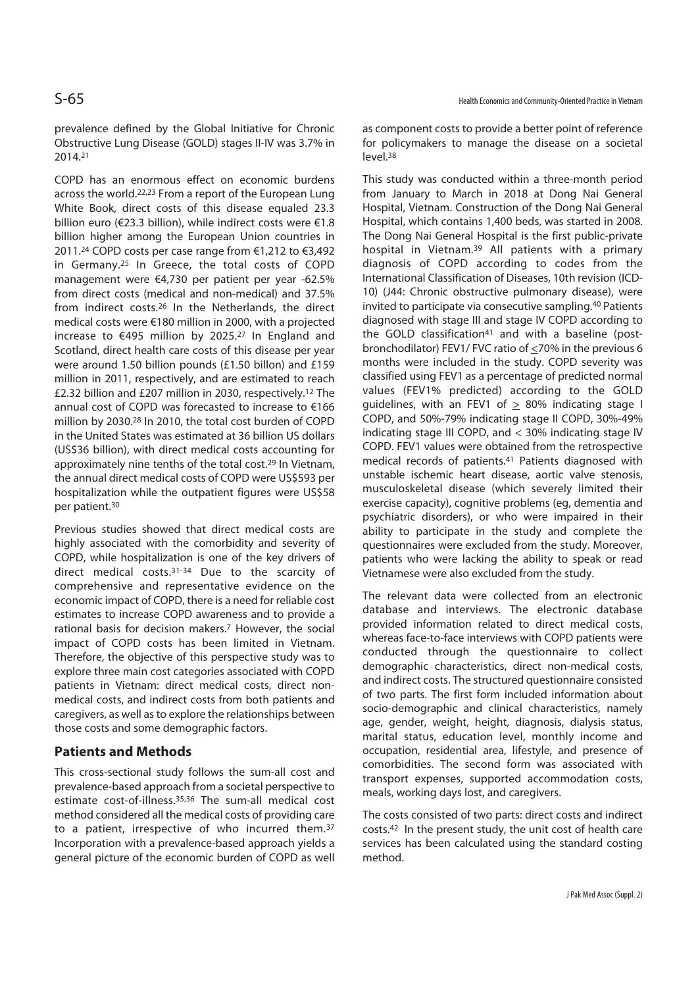prevalence defined by the Global Initiative for Chronic Obstructive Lung Disease (GOLD) stages II-IV was 3.7% in 2014.21

COPD has an enormous effect on economic burdens across the world.22,23 From a report of the European Lung White Book, direct costs of this disease equaled 23.3 billion euro (€23.3 billion), while indirect costs were €1.8 billion higher among the European Union countries in 2011.24 COPD costs per case range from €1,212 to €3,492 in Germany.25 In Greece, the total costs of COPD management were €4,730 per patient per year -62.5% from direct costs (medical and non-medical) and 37.5% from indirect costs.26 In the Netherlands, the direct medical costs were €180 million in 2000, with a projected increase to €495 million by 2025.27 In England and Scotland, direct health care costs of this disease per year were around 1.50 billion pounds (£1.50 billon) and £159 million in 2011, respectively, and are estimated to reach £2.32 billion and £207 million in 2030, respectively.12 The annual cost of COPD was forecasted to increase to €166 million by 2030.28 In 2010, the total cost burden of COPD in the United States was estimated at 36 billion US dollars (US\$36 billion), with direct medical costs accounting for approximately nine tenths of the total cost.29 In Vietnam, the annual direct medical costs of COPD were US\$593 per hospitalization while the outpatient figures were US\$58 per patient.30

Previous studies showed that direct medical costs are highly associated with the comorbidity and severity of COPD, while hospitalization is one of the key drivers of direct medical costs.31-34 Due to the scarcity of comprehensive and representative evidence on the economic impact of COPD, there is a need for reliable cost estimates to increase COPD awareness and to provide a rational basis for decision makers.7 However, the social impact of COPD costs has been limited in Vietnam. Therefore, the objective of this perspective study was to explore three main cost categories associated with COPD patients in Vietnam: direct medical costs, direct nonmedical costs, and indirect costs from both patients and caregivers, as well as to explore the relationships between those costs and some demographic factors.

### **Patients and Methods**

This cross-sectional study follows the sum-all cost and prevalence-based approach from a societal perspective to estimate cost-of-illness.35,36 The sum-all medical cost method considered all the medical costs of providing care to a patient, irrespective of who incurred them.37 Incorporation with a prevalence-based approach yields a general picture of the economic burden of COPD as well as component costs to provide a better point of reference for policymakers to manage the disease on a societal level.38

This study was conducted within a three-month period from January to March in 2018 at Dong Nai General Hospital, Vietnam. Construction of the Dong Nai General Hospital, which contains 1,400 beds, was started in 2008. The Dong Nai General Hospital is the first public-private hospital in Vietnam.39 All patients with a primary diagnosis of COPD according to codes from the International Classification of Diseases, 10th revision (ICD-10) (J44: Chronic obstructive pulmonary disease), were invited to participate via consecutive sampling.40 Patients diagnosed with stage III and stage IV COPD according to the GOLD classification<sup>41</sup> and with a baseline (postbronchodilator) FEV1/ FVC ratio of <70% in the previous 6 months were included in the study. COPD severity was classified using FEV1 as a percentage of predicted normal values (FEV1% predicted) according to the GOLD quidelines, with an FEV1 of  $> 80\%$  indicating stage I COPD, and 50%-79% indicating stage II COPD, 30%-49% indicating stage III COPD, and < 30% indicating stage IV COPD. FEV1 values were obtained from the retrospective medical records of patients.41 Patients diagnosed with unstable ischemic heart disease, aortic valve stenosis, musculoskeletal disease (which severely limited their exercise capacity), cognitive problems (eg, dementia and psychiatric disorders), or who were impaired in their ability to participate in the study and complete the questionnaires were excluded from the study. Moreover, patients who were lacking the ability to speak or read Vietnamese were also excluded from the study.

The relevant data were collected from an electronic database and interviews. The electronic database provided information related to direct medical costs, whereas face-to-face interviews with COPD patients were conducted through the questionnaire to collect demographic characteristics, direct non-medical costs, and indirect costs. The structured questionnaire consisted of two parts. The first form included information about socio-demographic and clinical characteristics, namely age, gender, weight, height, diagnosis, dialysis status, marital status, education level, monthly income and occupation, residential area, lifestyle, and presence of comorbidities. The second form was associated with transport expenses, supported accommodation costs, meals, working days lost, and caregivers.

The costs consisted of two parts: direct costs and indirect costs.42 In the present study, the unit cost of health care services has been calculated using the standard costing method.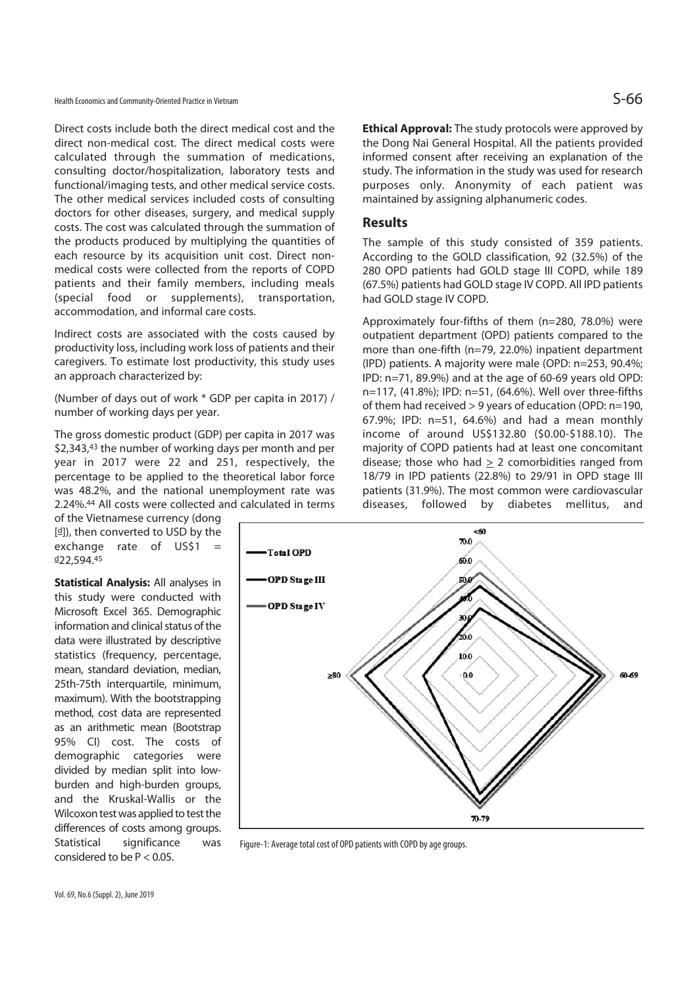Health Economics and Community-Oriented Practice in Vietnam  $S$ 

Direct costs include both the direct medical cost and the direct non-medical cost. The direct medical costs were calculated through the summation of medications, consulting doctor/hospitalization, laboratory tests and functional/imaging tests, and other medical service costs. The other medical services included costs of consulting doctors for other diseases, surgery, and medical supply costs. The cost was calculated through the summation of the products produced by multiplying the quantities of each resource by its acquisition unit cost. Direct nonmedical costs were collected from the reports of COPD patients and their family members, including meals (special food or supplements), transportation, accommodation, and informal care costs.

Indirect costs are associated with the costs caused by productivity loss, including work loss of patients and their caregivers. To estimate lost productivity, this study uses an approach characterized by:

(Number of days out of work \* GDP per capita in 2017) / number of working days per year.

The gross domestic product (GDP) per capita in 2017 was \$2,343,43 the number of working days per month and per year in 2017 were 22 and 251, respectively, the percentage to be applied to the theoretical labor force was 48.2%, and the national unemployment rate was 2.24%.44 All costs were collected and calculated in terms

of the Vietnamese currency (dong [d]), then converted to USD by the exchange rate of  $US$1 =$  $d22.594.45$ 

**Statistical Analysis:** All analyses in this study were conducted with Microsoft Excel 365. Demographic information and clinical status of the data were illustrated by descriptive statistics (frequency, percentage, mean, standard deviation, median, 25th-75th interquartile, minimum, maximum). With the bootstrapping method, cost data are represented as an arithmetic mean (Bootstrap 95% CI) cost. The costs of demographic categories were divided by median split into lowburden and high-burden groups, and the Kruskal-Wallis or the Wilcoxon test was applied to test the differences of costs among groups. Statistical significance was considered to be P < 0.05.

**Ethical Approval:** The study protocols were approved by the Dong Nai General Hospital. All the patients provided informed consent after receiving an explanation of the study. The information in the study was used for research purposes only. Anonymity of each patient was maintained by assigning alphanumeric codes.

### **Results**

The sample of this study consisted of 359 patients. According to the GOLD classification, 92 (32.5%) of the 280 OPD patients had GOLD stage III COPD, while 189 (67.5%) patients had GOLD stage IV COPD. All IPD patients had GOLD stage IV COPD.

Approximately four-fifths of them (n=280, 78.0%) were outpatient department (OPD) patients compared to the more than one-fifth (n=79, 22.0%) inpatient department (IPD) patients. A majority were male (OPD: n=253, 90.4%; IPD: n=71, 89.9%) and at the age of 60-69 years old OPD: n=117, (41.8%); IPD: n=51, (64.6%). Well over three-fifths of them had received > 9 years of education (OPD: n=190, 67.9%; IPD: n=51, 64.6%) and had a mean monthly income of around US\$132.80 (\$0.00-\$188.10). The majority of COPD patients had at least one concomitant disease; those who had  $\geq$  2 comorbidities ranged from 18/79 in IPD patients (22.8%) to 29/91 in OPD stage III patients (31.9%). The most common were cardiovascular diseases, followed by diabetes mellitus, and



Figure-1: Average total cost of OPD patients with COPD by age groups.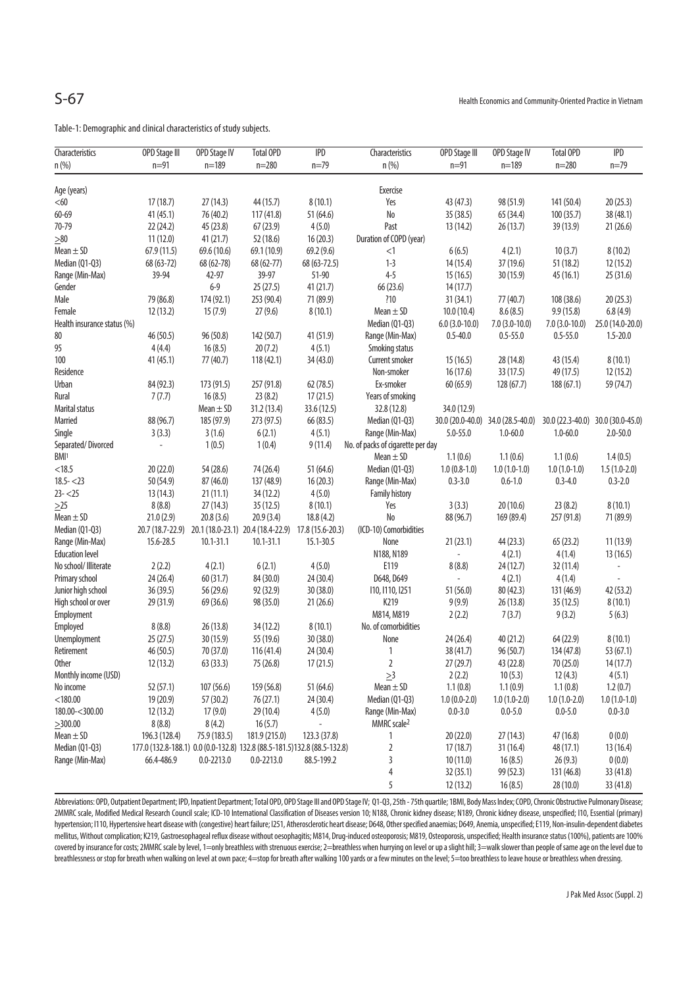Table-1: Demographic and clinical characteristics of study subjects.

| Characteristics             | <b>OPD Stage III</b>                                                      | <b>OPD Stage IV</b> | <b>Total OPD</b>                                   | IPD          | Characteristics                   | <b>OPD Stage III</b> | <b>OPD Stage IV</b>               | <b>Total OPD</b> | IPD              |
|-----------------------------|---------------------------------------------------------------------------|---------------------|----------------------------------------------------|--------------|-----------------------------------|----------------------|-----------------------------------|------------------|------------------|
| n (%)                       | $n = 91$                                                                  | $n = 189$           | $n = 280$                                          | $n = 79$     | n(%)                              | $n = 91$             | $n = 189$                         | $n = 280$        | $n = 79$         |
|                             |                                                                           |                     |                                                    |              |                                   |                      |                                   |                  |                  |
| Age (years)                 |                                                                           |                     |                                                    |              | Exercise                          |                      |                                   |                  |                  |
| < 60                        | 17(18.7)                                                                  | 27(14.3)            | 44 (15.7)                                          | 8(10.1)      | Yes                               | 43 (47.3)            | 98 (51.9)                         | 141 (50.4)       | 20(25.3)         |
| 60-69                       | 41(45.1)                                                                  | 76 (40.2)           | 117(41.8)                                          | 51 (64.6)    | No                                | 35 (38.5)            | 65 (34.4)                         | 100(35.7)        | 38 (48.1)        |
| 70-79                       | 22(24.2)                                                                  | 45 (23.8)           | 67(23.9)                                           | 4(5.0)       | Past                              | 13(14.2)             | 26(13.7)                          | 39 (13.9)        | 21(26.6)         |
| $\geq 80$                   | 11(12.0)                                                                  | 41(21.7)            | 52 (18.6)                                          | 16(20.3)     | Duration of COPD (year)           |                      |                                   |                  |                  |
| Mean $\pm$ SD               | 67.9(11.5)                                                                | 69.6 (10.6)         | 69.1 (10.9)                                        | 69.2 (9.6)   | <1                                | 6(6.5)               | 4(2.1)                            | 10(3.7)          | 8(10.2)          |
| Median (Q1-Q3)              | 68 (63-72)                                                                | 68 (62-78)          | 68 (62-77)                                         | 68 (63-72.5) | $1 - 3$                           | 14 (15.4)            | 37 (19.6)                         | 51(18.2)         | 12 (15.2)        |
| Range (Min-Max)             | 39-94                                                                     | 42-97               | 39-97                                              | 51-90        | $4 - 5$                           | 15(16.5)             | 30 (15.9)                         | 45(16.1)         | 25 (31.6)        |
| Gender                      |                                                                           | $6 - 9$             | 25(27.5)                                           | 41(21.7)     | 66 (23.6)                         | 14(17.7)             |                                   |                  |                  |
| Male                        | 79 (86.8)                                                                 | 174 (92.1)          | 253 (90.4)                                         | 71 (89.9)    | ?10                               | 31(34.1)             | 77 (40.7)                         | 108 (38.6)       | 20(25.3)         |
| Female                      | 12(13.2)                                                                  | 15(7.9)             | 27(9.6)                                            | 8(10.1)      | Mean $\pm$ SD                     | 10.0(10.4)           | 8.6(8.5)                          | 9.9(15.8)        | 6.8(4.9)         |
| Health insurance status (%) |                                                                           |                     |                                                    |              | Median (Q1-Q3)                    | $6.0(3.0-10.0)$      | $7.0(3.0-10.0)$                   | $7.0(3.0-10.0)$  | 25.0 (14.0-20.0) |
| 80                          | 46 (50.5)                                                                 | 96 (50.8)           | 142 (50.7)                                         | 41 (51.9)    | Range (Min-Max)                   | $0.5 - 40.0$         | $0.5 - 55.0$                      | $0.5 - 55.0$     | $1.5 - 20.0$     |
| 95                          | 4(4.4)                                                                    | 16(8.5)             | 20(7.2)                                            | 4(5.1)       | Smoking status                    |                      |                                   |                  |                  |
| 100                         | 41(45.1)                                                                  | 77 (40.7)           | 118(42.1)                                          | 34 (43.0)    | Current smoker                    | 15(16.5)             | 28 (14.8)                         | 43 (15.4)        | 8(10.1)          |
| Residence                   |                                                                           |                     |                                                    |              | Non-smoker                        | 16(17.6)             | 33 (17.5)                         | 49 (17.5)        | 12(15.2)         |
| Urban                       | 84 (92.3)                                                                 | 173 (91.5)          | 257 (91.8)                                         | 62 (78.5)    | Ex-smoker                         | 60(65.9)             | 128(67.7)                         | 188(67.1)        | 59 (74.7)        |
| Rural                       | 7(7.7)                                                                    | 16(8.5)             | 23(8.2)                                            | 17(21.5)     | Years of smoking                  |                      |                                   |                  |                  |
| <b>Marital status</b>       |                                                                           | Mean $\pm$ SD       | 31.2(13.4)                                         | 33.6 (12.5)  | 32.8 (12.8)                       | 34.0 (12.9)          |                                   |                  |                  |
| Married                     | 88 (96.7)                                                                 | 185 (97.9)          | 273 (97.5)                                         | 66 (83.5)    | Median (Q1-Q3)                    |                      | 30.0 (20.0-40.0) 34.0 (28.5-40.0) | 30.0 (22.3-40.0) | 30.0 (30.0-45.0) |
| Single                      | 3(3.3)                                                                    | 3(1.6)              | 6(2.1)                                             | 4(5.1)       | Range (Min-Max)                   | 5.0-55.0             | $1.0 - 60.0$                      | $1.0 - 60.0$     | $2.0 - 50.0$     |
| Separated/Divorced          | $\overline{a}$                                                            | 1(0.5)              | 1(0.4)                                             | 9(11.4)      | No. of packs of cigarette per day |                      |                                   |                  |                  |
| BMI <sup>1</sup>            |                                                                           |                     |                                                    |              | Mean $\pm$ SD                     | 1.1(0.6)             | 1.1(0.6)                          | 1.1(0.6)         | 1.4(0.5)         |
| < 18.5                      | 20(22.0)                                                                  | 54 (28.6)           | 74 (26.4)                                          | 51 (64.6)    | Median (Q1-Q3)                    | $1.0(0.8-1.0)$       | $1.0(1.0-1.0)$                    | $1.0(1.0-1.0)$   | $1.5(1.0-2.0)$   |
| $18.5 - 23$                 | 50 (54.9)                                                                 | 87 (46.0)           | 137 (48.9)                                         | 16(20.3)     | Range (Min-Max)                   | $0.3 - 3.0$          | $0.6 - 1.0$                       | $0.3 - 4.0$      | $0.3 - 2.0$      |
| $23 - 25$                   | 13(14.3)                                                                  | 21(11.1)            | 34 (12.2)                                          | 4(5.0)       | <b>Family history</b>             |                      |                                   |                  |                  |
| $\geq$ 25                   | 8(8.8)                                                                    | 27(14.3)            | 35 (12.5)                                          | 8(10.1)      | Yes                               | 3(3.3)               | 20(10.6)                          | 23(8.2)          | 8(10.1)          |
| Mean $\pm$ SD               | 21.0(2.9)                                                                 | 20.8(3.6)           | 20.9(3.4)                                          | 18.8(4.2)    | N <sub>o</sub>                    | 88 (96.7)            | 169 (89.4)                        | 257 (91.8)       | 71 (89.9)        |
| Median (Q1-Q3)              | 20.7 (18.7-22.9)                                                          |                     | 20.1 (18.0-23.1) 20.4 (18.4-22.9) 17.8 (15.6-20.3) |              | (ICD-10) Comorbidities            |                      |                                   |                  |                  |
| Range (Min-Max)             | 15.6-28.5                                                                 | $10.1 - 31.1$       | $10.1 - 31.1$                                      | 15.1-30.5    | None                              | 21(23.1)             | 44(23.3)                          | 65(23.2)         | 11(13.9)         |
| <b>Education level</b>      |                                                                           |                     |                                                    |              | N188, N189                        | $\Box$               | 4(2.1)                            | 4(1.4)           | 13(16.5)         |
| No school/ Illiterate       | 2(2.2)                                                                    | 4(2.1)              | 6(2.1)                                             | 4(5.0)       | E119                              | 8(8.8)               | 24(12.7)                          | 32 (11.4)        | $\blacksquare$   |
| Primary school              | 24(26.4)                                                                  | 60 (31.7)           | 84 (30.0)                                          | 24 (30.4)    | D648, D649                        | ä,                   | 4(2.1)                            | 4(1.4)           |                  |
| Junior high school          | 36 (39.5)                                                                 | 56 (29.6)           | 92 (32.9)                                          | 30 (38.0)    | 110, 1110, 1251                   | 51 (56.0)            | 80 (42.3)                         | 131 (46.9)       | 42 (53.2)        |
| High school or over         | 29 (31.9)                                                                 | 69 (36.6)           | 98 (35.0)                                          | 21(26.6)     | K219                              | 9(9.9)               | 26 (13.8)                         | 35(12.5)         | 8(10.1)          |
| Employment                  |                                                                           |                     |                                                    |              | M814, M819                        | 2(2.2)               | 7(3.7)                            | 9(3.2)           | 5(6.3)           |
| Employed                    | 8(8.8)                                                                    | 26 (13.8)           | 34 (12.2)                                          | 8(10.1)      | No. of comorbidities              |                      |                                   |                  |                  |
| Unemployment                | 25(27.5)                                                                  | 30 (15.9)           | 55 (19.6)                                          | 30 (38.0)    | None                              | 24 (26.4)            | 40(21.2)                          | 64 (22.9)        | 8(10.1)          |
| Retirement                  | 46(50.5)                                                                  | 70 (37.0)           | 116 (41.4)                                         | 24 (30.4)    | 1                                 | 38 (41.7)            | 96 (50.7)                         | 134 (47.8)       | 53 (67.1)        |
| <b>Other</b>                | 12(13.2)                                                                  | 63 (33.3)           | 75 (26.8)                                          | 17(21.5)     | 2                                 | 27 (29.7)            | 43 (22.8)                         | 70 (25.0)        | 14(17.7)         |
| Monthly income (USD)        |                                                                           |                     |                                                    |              | $\geq$ 3                          | 2(2.2)               | 10(5.3)                           | 12(4.3)          | 4(5.1)           |
| No income                   | 52(57.1)                                                                  | 107 (56.6)          | 159 (56.8)                                         | 51 (64.6)    | Mean $\pm$ SD                     | 1.1(0.8)             | 1.1(0.9)                          | 1.1(0.8)         | 1.2(0.7)         |
| $<$ 180.00                  | 19 (20.9)                                                                 | 57 (30.2)           | 76(27.1)                                           | 24 (30.4)    | Median (Q1-Q3)                    | $1.0(0.0-2.0)$       | $1.0(1.0-2.0)$                    | $1.0(1.0-2.0)$   | $1.0(1.0-1.0)$   |
| 180.00-<300.00              | 12(13.2)                                                                  | 17(9.0)             | 29 (10.4)                                          | 4(5.0)       | Range (Min-Max)                   | $0.0 - 3.0$          | $0.0 - 5.0$                       | $0.0 - 5.0$      | $0.0 - 3.0$      |
| $\geq$ 300.00               | 8(8.8)                                                                    | 8(4.2)              | 16(5.7)                                            |              | MMRC scale <sup>2</sup>           |                      |                                   |                  |                  |
| Mean $\pm$ SD               | 196.3 (128.4)                                                             | 75.9 (183.5)        | 181.9 (215.0)                                      | 123.3 (37.8) | 1                                 | 20 (22.0)            | 27(14.3)                          | 47 (16.8)        | 0(0.0)           |
| Median (Q1-Q3)              | 177.0 (132.8-188.1) 0.0 (0.0-132.8) 132.8 (88.5-181.5) 132.8 (88.5-132.8) |                     |                                                    |              | $\sqrt{2}$                        | 17(18.7)             | 31(16.4)                          | 48 (17.1)        | 13(16.4)         |
| Range (Min-Max)             | 66.4-486.9                                                                | $0.0 - 2213.0$      | $0.0 - 2213.0$                                     | 88.5-199.2   | 3                                 | 10(11.0)             | 16(8.5)                           | 26(9.3)          | 0(0.0)           |
|                             |                                                                           |                     |                                                    |              | $\overline{4}$                    | 32(35.1)             | 99 (52.3)                         | 131 (46.8)       | 33 (41.8)        |
|                             |                                                                           |                     |                                                    |              | 5                                 | 12(13.2)             | 16(8.5)                           | 28 (10.0)        | 33 (41.8)        |

Abbreviations: OPD, Outpatient Department; IPD, Inpatient Department; Total OPD, OPD Stage III and OPD Stage IV; Q1-Q3, 25th - 75th quartile; 1BMI, Body Mass Index; COPD, Chronic Obstructive Pulmonary Disease; 2MMRC scale, Modified Medical Research Council scale; ICD-10 International Classification of Diseases version 10; N188, Chronic kidney disease; N189, Chronic kidney disease, unspecified; I10, Essential (primary) hypertension; I110, Hypertensive heart disease with (congestive) heart failure; I251, Atherosclerotic heart disease; D648, Other specified anaemias; D649, Anemia, unspecified; E119, Non-insulin-dependent diabetes mellitus, Without complication; K219, Gastroesophageal reflux disease without oesophagitis; M814, Drug-induced osteoporosis; M819, Osteoporosis, unspecified; Health insurance status (100%), patients are 100% covered by insurance for costs; 2MMRC scale by level, 1=only breathless with strenuous exercise; 2=breathless when hurrying on level or up a slight hill; 3=walk slower than people of same age on the level due to breathlessness or stop for breath when walking on level at own pace; 4=stop for breath after walking 100 yards or a few minutes on the level; 5=too breathless to leave house or breathless when dressing.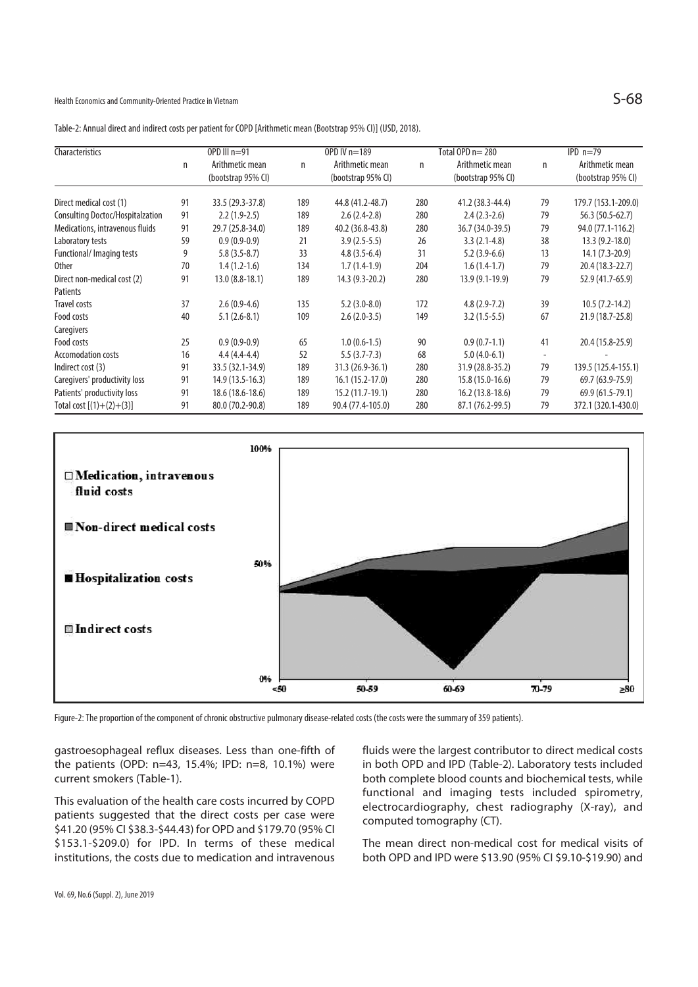Health Economics and Community-Oriented Practice in Vietnam  $S-68$ 

| Characteristics                  | OPD III $n=91$ |                                       |     | OPD IV n=189                          |     | Total OPD n= 280                      |                          | $IPD_n=79$                            |  |
|----------------------------------|----------------|---------------------------------------|-----|---------------------------------------|-----|---------------------------------------|--------------------------|---------------------------------------|--|
|                                  | n              | Arithmetic mean<br>(bootstrap 95% CI) | n   | Arithmetic mean<br>(bootstrap 95% CI) | n   | Arithmetic mean<br>(bootstrap 95% CI) | n                        | Arithmetic mean<br>(bootstrap 95% CI) |  |
| Direct medical cost (1)          | 91             | 33.5 (29.3-37.8)                      | 189 | 44.8 (41.2-48.7)                      | 280 | 41.2 (38.3-44.4)                      | 79                       | 179.7 (153.1-209.0)                   |  |
| Consulting Doctoc/Hospitalzation | 91             | $2.2(1.9-2.5)$                        | 189 | $2.6(2.4-2.8)$                        | 280 | $2.4(2.3-2.6)$                        | 79                       | 56.3 (50.5-62.7)                      |  |
| Medications, intravenous fluids  | 91             | 29.7 (25.8-34.0)                      | 189 | 40.2 (36.8-43.8)                      | 280 | 36.7 (34.0-39.5)                      | 79                       | 94.0 (77.1-116.2)                     |  |
| Laboratory tests                 | 59             | $0.9(0.9-0.9)$                        | 21  | $3.9(2.5-5.5)$                        | 26  | $3.3(2.1-4.8)$                        | 38                       | $13.3(9.2 - 18.0)$                    |  |
| Functional/ Imaging tests        | 9              | $5.8(3.5-8.7)$                        | 33  | $4.8(3.5-6.4)$                        | 31  | $5.2(3.9-6.6)$                        | 13                       | $14.1 (7.3 - 20.9)$                   |  |
| <b>Other</b>                     | 70             | $1.4(1.2-1.6)$                        | 134 | $1.7(1.4-1.9)$                        | 204 | $1.6(1.4-1.7)$                        | 79                       | 20.4 (18.3-22.7)                      |  |
| Direct non-medical cost (2)      | 91             | $13.0(8.8-18.1)$                      | 189 | 14.3 (9.3-20.2)                       | 280 | $13.9(9.1-19.9)$                      | 79                       | 52.9 (41.7-65.9)                      |  |
| Patients                         |                |                                       |     |                                       |     |                                       |                          |                                       |  |
| Travel costs                     | 37             | $2.6(0.9-4.6)$                        | 135 | $5.2(3.0-8.0)$                        | 172 | $4.8(2.9-7.2)$                        | 39                       | $10.5(7.2-14.2)$                      |  |
| Food costs                       | 40             | $5.1(2.6-8.1)$                        | 109 | $2.6(2.0-3.5)$                        | 149 | $3.2(1.5-5.5)$                        | 67                       | 21.9 (18.7-25.8)                      |  |
| Caregivers                       |                |                                       |     |                                       |     |                                       |                          |                                       |  |
| Food costs                       | 25             | $0.9(0.9-0.9)$                        | 65  | $1.0(0.6-1.5)$                        | 90  | $0.9(0.7-1.1)$                        | 41                       | 20.4 (15.8-25.9)                      |  |
| Accomodation costs               | 16             | $4.4(4.4-4.4)$                        | 52  | $5.5(3.7-7.3)$                        | 68  | $5.0(4.0-6.1)$                        | $\overline{\phantom{a}}$ |                                       |  |
| Indirect cost (3)                | 91             | 33.5 (32.1-34.9)                      | 189 | 31.3 (26.9-36.1)                      | 280 | 31.9 (28.8-35.2)                      | 79                       | 139.5 (125.4-155.1)                   |  |
| Caregivers' productivity loss    | 91             | 14.9 (13.5-16.3)                      | 189 | $16.1(15.2-17.0)$                     | 280 | 15.8 (15.0-16.6)                      | 79                       | 69.7 (63.9-75.9)                      |  |
| Patients' productivity loss      | 91             | 18.6 (18.6-18.6)                      | 189 | 15.2 (11.7-19.1)                      | 280 | $16.2(13.8-18.6)$                     | 79                       | 69.9 (61.5-79.1)                      |  |
| Total cost $[(1)+(2)+(3)]$       | 91             | 80.0 (70.2-90.8)                      | 189 | 90.4 (77.4-105.0)                     | 280 | 87.1 (76.2-99.5)                      | 79                       | 372.1 (320.1-430.0)                   |  |

Table-2: Annual direct and indirect costs per patient for COPD [Arithmetic mean (Bootstrap 95% CI)] (USD, 2018).



Figure-2: The proportion of the component of chronic obstructive pulmonary disease-related costs (the costs were the summary of 359 patients).

gastroesophageal reflux diseases. Less than one-fifth of the patients (OPD: n=43, 15.4%; IPD: n=8, 10.1%) were current smokers (Table-1).

This evaluation of the health care costs incurred by COPD patients suggested that the direct costs per case were \$41.20 (95% CI \$38.3-\$44.43) for OPD and \$179.70 (95% CI \$153.1-\$209.0) for IPD. In terms of these medical institutions, the costs due to medication and intravenous fluids were the largest contributor to direct medical costs in both OPD and IPD (Table-2). Laboratory tests included both complete blood counts and biochemical tests, while functional and imaging tests included spirometry, electrocardiography, chest radiography (X-ray), and computed tomography (CT).

The mean direct non-medical cost for medical visits of both OPD and IPD were \$13.90 (95% CI \$9.10-\$19.90) and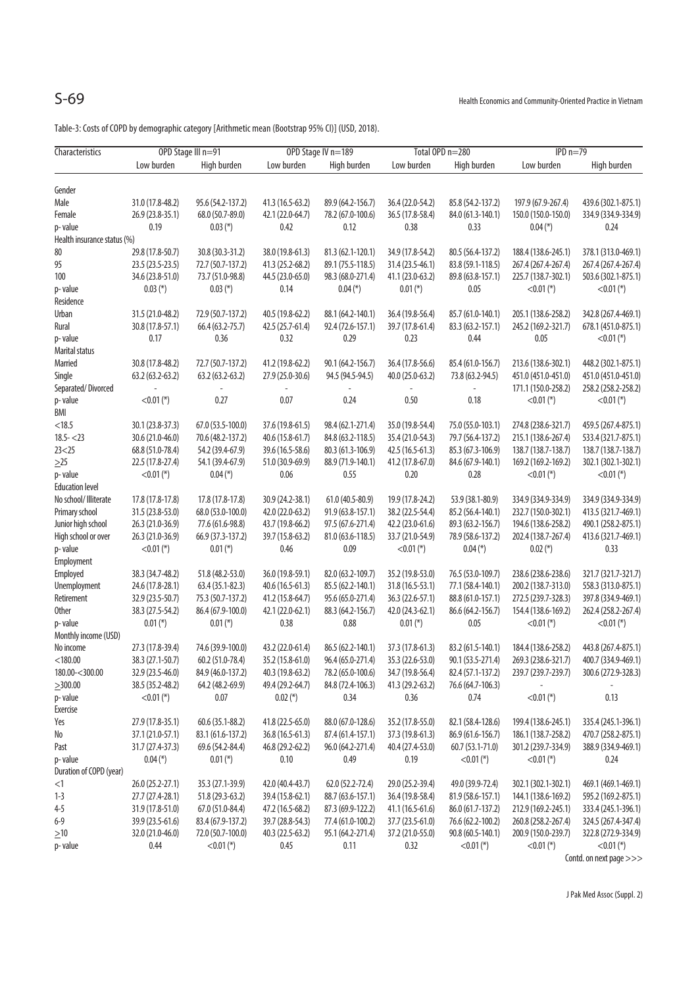Table-3: Costs of COPD by demographic category [Arithmetic mean (Bootstrap 95% CI)] (USD, 2018).

| Characteristics                   | OPD Stage III n=91                   |                                        |                  | OPD Stage IV n=189        |                                      | Total OPD n=280                        | $IPD n=79$          |                         |
|-----------------------------------|--------------------------------------|----------------------------------------|------------------|---------------------------|--------------------------------------|----------------------------------------|---------------------|-------------------------|
|                                   | Low burden                           | High burden                            | Low burden       | High burden               | Low burden                           | High burden                            | Low burden          | High burden             |
|                                   |                                      |                                        |                  |                           |                                      |                                        |                     |                         |
| Gender                            |                                      |                                        |                  |                           |                                      |                                        |                     |                         |
| Male                              | 31.0 (17.8-48.2)                     | 95.6 (54.2-137.2)                      | 41.3 (16.5-63.2) | 89.9 (64.2-156.7)         | 36.4 (22.0-54.2)                     | 85.8 (54.2-137.2)                      | 197.9 (67.9-267.4)  | 439.6 (302.1-875.1)     |
| Female                            | 26.9 (23.8-35.1)                     | 68.0 (50.7-89.0)                       | 42.1 (22.0-64.7) | 78.2 (67.0-100.6)         | 36.5 (17.8-58.4)                     | 84.0 (61.3-140.1)                      | 150.0 (150.0-150.0) | 334.9 (334.9-334.9)     |
| p-value                           | 0.19                                 | $0.03$ (*)                             | 0.42             | 0.12                      | 0.38                                 | 0.33                                   | $0.04$ (*)          | 0.24                    |
| Health insurance status (%)       |                                      |                                        |                  |                           |                                      |                                        |                     |                         |
| 80                                | 29.8 (17.8-50.7)                     | 30.8 (30.3-31.2)                       | 38.0 (19.8-61.3) | 81.3 (62.1-120.1)         | 34.9 (17.8-54.2)                     | 80.5 (56.4-137.2)                      | 188.4 (138.6-245.1) | 378.1 (313.0-469.1)     |
| 95                                | 23.5 (23.5-23.5)                     | 72.7 (50.7-137.2)                      | 41.3 (25.2-68.2) | 89.1 (75.5-118.5)         | 31.4 (23.5-46.1)                     | 83.8 (59.1-118.5)                      | 267.4 (267.4-267.4) | 267.4 (267.4-267.4)     |
| 100                               | 34.6 (23.8-51.0)                     | 73.7 (51.0-98.8)                       | 44.5 (23.0-65.0) | 98.3 (68.0-271.4)         | 41.1 (23.0-63.2)                     | 89.8 (63.8-157.1)                      | 225.7 (138.7-302.1) | 503.6 (302.1-875.1)     |
| p-value                           | $0.03$ (*)                           | $0.03$ (*)                             | 0.14             | $0.04$ (*)                | $0.01$ (*)                           | 0.05                                   | $<$ 0.01 (*)        | $<$ 0.01 (*)            |
| Residence                         |                                      |                                        |                  |                           |                                      |                                        |                     |                         |
| Urban                             | 31.5 (21.0-48.2)                     | 72.9 (50.7-137.2)                      | 40.5 (19.8-62.2) | 88.1 (64.2-140.1)         | 36.4 (19.8-56.4)                     | 85.7 (61.0-140.1)                      | 205.1 (138.6-258.2) | 342.8 (267.4-469.1)     |
| Rural                             | 30.8 (17.8-57.1)                     | 66.4 (63.2-75.7)                       | 42.5 (25.7-61.4) | 92.4 (72.6-157.1)         | 39.7 (17.8-61.4)                     | 83.3 (63.2-157.1)                      | 245.2 (169.2-321.7) | 678.1 (451.0-875.1)     |
| p-value                           | 0.17                                 | 0.36                                   | 0.32             | 0.29                      | 0.23                                 | 0.44                                   | 0.05                | $<$ 0.01 (*)            |
| Marital status                    |                                      |                                        |                  |                           |                                      |                                        |                     |                         |
| Married                           | 30.8 (17.8-48.2)                     | 72.7 (50.7-137.2)                      | 41.2 (19.8-62.2) | 90.1 (64.2-156.7)         | 36.4 (17.8-56.6)                     | 85.4 (61.0-156.7)                      | 213.6 (138.6-302.1) | 448.2 (302.1-875.1)     |
| Single                            | $63.2(63.2-63.2)$                    | $63.2(63.2-63.2)$                      | 27.9 (25.0-30.6) | 94.5 (94.5-94.5)          | 40.0 (25.0-63.2)                     | 73.8 (63.2-94.5)                       | 451.0 (451.0-451.0) | 451.0 (451.0-451.0)     |
| Separated/Divorced                |                                      |                                        |                  |                           |                                      |                                        | 171.1 (150.0-258.2) | 258.2 (258.2-258.2)     |
| p-value                           | $<$ 0.01 (*)                         | 0.27                                   | 0.07             | 0.24                      | 0.50                                 | 0.18                                   | $<$ 0.01 (*)        | $<$ 0.01 (*)            |
| BMI                               |                                      |                                        |                  |                           |                                      |                                        |                     |                         |
| < 18.5                            | 30.1 (23.8-37.3)                     |                                        | 37.6 (19.8-61.5) | 98.4 (62.1-271.4)         |                                      |                                        | 274.8 (238.6-321.7) |                         |
| $18.5 - 23$                       | 30.6 (21.0-46.0)                     | 67.0 (53.5-100.0)<br>70.6 (48.2-137.2) |                  |                           | 35.0 (19.8-54.4)                     | 75.0 (55.0-103.1)                      |                     | 459.5 (267.4-875.1)     |
| 23 < 25                           |                                      | 54.2 (39.4-67.9)                       | 40.6 (15.8-61.7) | 84.8 (63.2-118.5)         | 35.4 (21.0-54.3)<br>42.5 (16.5-61.3) | 79.7 (56.4-137.2)                      | 215.1 (138.6-267.4) | 533.4 (321.7-875.1)     |
|                                   | 68.8 (51.0-78.4)<br>22.5 (17.8-27.4) |                                        | 39.6 (16.5-58.6) | 80.3 (61.3-106.9)         |                                      | 85.3 (67.3-106.9)<br>84.6 (67.9-140.1) | 138.7 (138.7-138.7) | 138.7 (138.7-138.7)     |
| $\geq$ 25                         |                                      | 54.1 (39.4-67.9)                       | 51.0 (30.9-69.9) | 88.9 (71.9-140.1)<br>0.55 | 41.2 (17.8-67.0)                     |                                        | 169.2 (169.2-169.2) | 302.1 (302.1-302.1)     |
| p-value<br><b>Education level</b> | $<$ 0.01 (*)                         | $0.04$ (*)                             | 0.06             |                           | 0.20                                 | 0.28                                   | $<$ 0.01 (*)        | $<$ 0.01 (*)            |
|                                   |                                      | 17.8 (17.8-17.8)                       |                  |                           |                                      |                                        | 334.9 (334.9-334.9) |                         |
| No school/ Illiterate             | 17.8 (17.8-17.8)                     |                                        | 30.9 (24.2-38.1) | 61.0 (40.5-80.9)          | 19.9 (17.8-24.2)                     | 53.9 (38.1-80.9)                       |                     | 334.9 (334.9-334.9)     |
| Primary school                    | 31.5 (23.8-53.0)                     | 68.0 (53.0-100.0)                      | 42.0 (22.0-63.2) | 91.9 (63.8-157.1)         | 38.2 (22.5-54.4)                     | 85.2 (56.4-140.1)                      | 232.7 (150.0-302.1) | 413.5 (321.7-469.1)     |
| Junior high school                | 26.3 (21.0-36.9)                     | 77.6 (61.6-98.8)                       | 43.7 (19.8-66.2) | 97.5 (67.6-271.4)         | 42.2 (23.0-61.6)                     | 89.3 (63.2-156.7)                      | 194.6 (138.6-258.2) | 490.1 (258.2-875.1)     |
| High school or over               | 26.3 (21.0-36.9)                     | 66.9 (37.3-137.2)                      | 39.7 (15.8-63.2) | 81.0 (63.6-118.5)         | 33.7 (21.0-54.9)                     | 78.9 (58.6-137.2)                      | 202.4 (138.7-267.4) | 413.6 (321.7-469.1)     |
| p-value                           | $<$ 0.01 (*)                         | $0.01$ (*)                             | 0.46             | 0.09                      | $<$ 0.01 (*)                         | $0.04$ (*)                             | $0.02$ (*)          | 0.33                    |
| Employment                        |                                      |                                        |                  |                           |                                      |                                        |                     |                         |
| Employed                          | 38.3 (34.7-48.2)                     | 51.8 (48.2-53.0)                       | 36.0 (19.8-59.1) | 82.0 (63.2-109.7)         | 35.2 (19.8-53.0)                     | 76.5 (53.0-109.7)                      | 238.6 (238.6-238.6) | 321.7 (321.7-321.7)     |
| Unemployment                      | 24.6 (17.8-28.1)                     | 63.4 (35.1-82.3)                       | 40.6 (16.5-61.3) | 85.5 (62.2-140.1)         | 31.8 (16.5-53.1)                     | 77.1 (58.4-140.1)                      | 200.2 (138.7-313.0) | 558.3 (313.0-875.1)     |
| Retirement                        | 32.9 (23.5-50.7)                     | 75.3 (50.7-137.2)                      | 41.2 (15.8-64.7) | 95.6 (65.0-271.4)         | 36.3 (22.6-57.1)                     | 88.8 (61.0-157.1)                      | 272.5 (239.7-328.3) | 397.8 (334.9-469.1)     |
| <b>Other</b>                      | 38.3 (27.5-54.2)                     | 86.4 (67.9-100.0)                      | 42.1 (22.0-62.1) | 88.3 (64.2-156.7)         | 42.0 (24.3-62.1)                     | 86.6 (64.2-156.7)                      | 154.4 (138.6-169.2) | 262.4 (258.2-267.4)     |
| p-value                           | $0.01$ (*)                           | $0.01$ (*)                             | 0.38             | 0.88                      | $0.01$ (*)                           | 0.05                                   | $<$ 0.01 (*)        | $< 0.01$ (*)            |
| Monthly income (USD)              |                                      |                                        |                  |                           |                                      |                                        |                     |                         |
| No income                         | 27.3 (17.8-39.4)                     | 74.6 (39.9-100.0)                      | 43.2 (22.0-61.4) | 86.5 (62.2-140.1)         | 37.3 (17.8-61.3)                     | 83.2 (61.5-140.1)                      | 184.4 (138.6-258.2) | 443.8 (267.4-875.1)     |
| $<$ 180.00                        | 38.3 (27.1-50.7)                     | 60.2 (51.0-78.4)                       | 35.2 (15.8-61.0) | 96.4 (65.0-271.4)         | 35.3 (22.6-53.0)                     | 90.1 (53.5-271.4)                      | 269.3 (238.6-321.7) | 400.7 (334.9-469.1)     |
| 180.00-<300.00                    | 32.9 (23.5-46.0)                     | 84.9 (46.0-137.2)                      | 40.3 (19.8-63.2) | 78.2 (65.0-100.6)         | 34.7 (19.8-56.4)                     | 82.4 (57.1-137.2)                      | 239.7 (239.7-239.7) | 300.6 (272.9-328.3)     |
| >300.00                           | 38.5 (35.2-48.2)                     | 64.2 (48.2-69.9)                       | 49.4 (29.2-64.7) | 84.8 (72.4-106.3)         | 41.3 (29.2-63.2)                     | 76.6 (64.7-106.3)                      |                     |                         |
| p-value                           | $<$ 0.01 (*)                         | 0.07                                   | $0.02$ (*)       | 0.34                      | 0.36                                 | 0.74                                   | $<$ 0.01 (*)        | 0.13                    |
| Exercise                          |                                      |                                        |                  |                           |                                      |                                        |                     |                         |
| Yes                               | 27.9 (17.8-35.1)                     | 60.6 (35.1-88.2)                       | 41.8 (22.5-65.0) | 88.0 (67.0-128.6)         | 35.2 (17.8-55.0)                     | 82.1 (58.4-128.6)                      | 199.4 (138.6-245.1) | 335.4 (245.1-396.1)     |
| No                                | 37.1 (21.0-57.1)                     | 83.1 (61.6-137.2)                      | 36.8 (16.5-61.3) | 87.4 (61.4-157.1)         | 37.3 (19.8-61.3)                     | 86.9 (61.6-156.7)                      | 186.1 (138.7-258.2) | 470.7 (258.2-875.1)     |
| Past                              | 31.7 (27.4-37.3)                     | 69.6 (54.2-84.4)                       | 46.8 (29.2-62.2) | 96.0 (64.2-271.4)         | 40.4 (27.4-53.0)                     | 60.7 (53.1-71.0)                       | 301.2 (239.7-334.9) | 388.9 (334.9-469.1)     |
| p-value                           | $0.04$ (*)                           | $0.01$ (*)                             | 0.10             | 0.49                      | 0.19                                 | $<$ 0.01 (*)                           | $<$ 0.01 (*)        | 0.24                    |
| Duration of COPD (year)           |                                      |                                        |                  |                           |                                      |                                        |                     |                         |
| <1                                | 26.0 (25.2-27.1)                     | 35.3 (27.1-39.9)                       | 42.0 (40.4-43.7) | 62.0 (52.2-72.4)          | 29.0 (25.2-39.4)                     | 49.0 (39.9-72.4)                       | 302.1 (302.1-302.1) | 469.1 (469.1-469.1)     |
| $1 - 3$                           | 27.7 (27.4-28.1)                     | 51.8 (29.3-63.2)                       | 39.4 (15.8-62.1) | 88.7 (63.6-157.1)         | 36.4 (19.8-58.4)                     | 81.9 (58.6-157.1)                      | 144.1 (138.6-169.2) | 595.2 (169.2-875.1)     |
| $4 - 5$                           | 31.9 (17.8-51.0)                     | 67.0 (51.0-84.4)                       | 47.2 (16.5-68.2) | 87.3 (69.9-122.2)         | 41.1 (16.5-61.6)                     | 86.0 (61.7-137.2)                      | 212.9 (169.2-245.1) | 333.4 (245.1-396.1)     |
| $6 - 9$                           | 39.9 (23.5-61.6)                     | 83.4 (67.9-137.2)                      | 39.7 (28.8-54.3) | 77.4 (61.0-100.2)         | 37.7 (23.5-61.0)                     | 76.6 (62.2-100.2)                      | 260.8 (258.2-267.4) | 324.5 (267.4-347.4)     |
| $\geq10$                          | 32.0 (21.0-46.0)                     | 72.0 (50.7-100.0)                      | 40.3 (22.5-63.2) | 95.1 (64.2-271.4)         | 37.2 (21.0-55.0)                     | 90.8 (60.5-140.1)                      | 200.9 (150.0-239.7) | 322.8 (272.9-334.9)     |
| p-value                           | 0.44                                 | $<$ 0.01 (*)                           | 0.45             | 0.11                      | 0.32                                 | $<$ 0.01 (*)                           | $<$ 0.01 (*)        | $<$ 0.01 (*)            |
|                                   |                                      |                                        |                  |                           |                                      |                                        |                     | Contd. on next page >>> |

J Pak Med Assoc (Suppl. 2)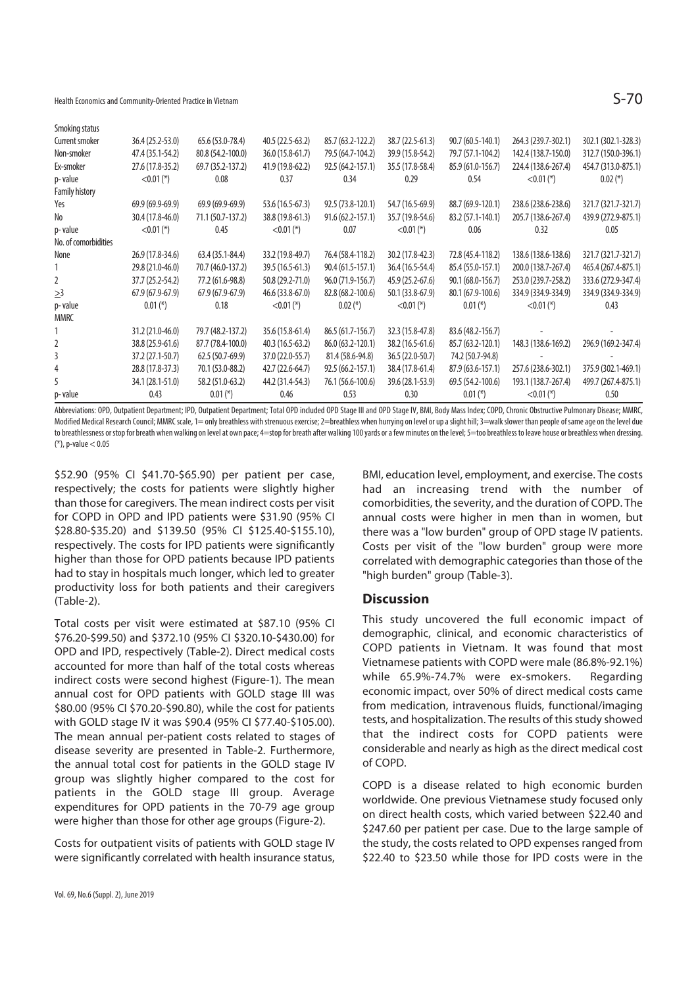Health Economics and Community-Oriented Practice in Vietnam  $S$ 

| Smoking status        |                   |                   |                   |                   |                  |                   |                     |                     |
|-----------------------|-------------------|-------------------|-------------------|-------------------|------------------|-------------------|---------------------|---------------------|
| Current smoker        | 36.4 (25.2-53.0)  | 65.6 (53.0-78.4)  | 40.5 (22.5-63.2)  | 85.7 (63.2-122.2) | 38.7 (22.5-61.3) | 90.7 (60.5-140.1) | 264.3 (239.7-302.1) | 302.1 (302.1-328.3) |
| Non-smoker            | 47.4 (35.1-54.2)  | 80.8 (54.2-100.0) | 36.0 (15.8-61.7)  | 79.5 (64.7-104.2) | 39.9 (15.8-54.2) | 79.7 (57.1-104.2) | 142.4 (138.7-150.0) | 312.7 (150.0-396.1) |
| Ex-smoker             | 27.6 (17.8-35.2)  | 69.7 (35.2-137.2) | 41.9 (19.8-62.2)  | 92.5 (64.2-157.1) | 35.5 (17.8-58.4) | 85.9 (61.0-156.7) | 224.4 (138.6-267.4) | 454.7 (313.0-875.1) |
| p-value               | $<$ 0.01 (*)      | 0.08              | 0.37              | 0.34              | 0.29             | 0.54              | $< 0.01$ (*)        | $0.02$ (*)          |
| <b>Family history</b> |                   |                   |                   |                   |                  |                   |                     |                     |
| Yes                   | $69.9(69.9-69.9)$ | $69.9(69.9-69.9)$ | 53.6 (16.5-67.3)  | 92.5 (73.8-120.1) | 54.7 (16.5-69.9) | 88.7 (69.9-120.1) | 238.6 (238.6-238.6) | 321.7 (321.7-321.7) |
| No                    | 30.4 (17.8-46.0)  | 71.1 (50.7-137.2) | 38.8 (19.8-61.3)  | 91.6 (62.2-157.1) | 35.7 (19.8-54.6) | 83.2 (57.1-140.1) | 205.7 (138.6-267.4) | 439.9 (272.9-875.1) |
| p-value               | $<$ 0.01 (*)      | 0.45              | $<$ 0.01 (*)      | 0.07              | $<$ 0.01 (*)     | 0.06              | 0.32                | 0.05                |
| No. of comorbidities  |                   |                   |                   |                   |                  |                   |                     |                     |
| None                  | 26.9 (17.8-34.6)  | 63.4 (35.1-84.4)  | 33.2 (19.8-49.7)  | 76.4 (58.4-118.2) | 30.2 (17.8-42.3) | 72.8 (45.4-118.2) | 138.6 (138.6-138.6) | 321.7 (321.7-321.7) |
|                       | 29.8 (21.0-46.0)  | 70.7 (46.0-137.2) | 39.5 (16.5-61.3)  | 90.4 (61.5-157.1) | 36.4 (16.5-54.4) | 85.4 (55.0-157.1) | 200.0 (138.7-267.4) | 465.4 (267.4-875.1) |
| 2                     | 37.7 (25.2-54.2)  | 77.2 (61.6-98.8)  | 50.8 (29.2-71.0)  | 96.0 (71.9-156.7) | 45.9 (25.2-67.6) | 90.1 (68.0-156.7) | 253.0 (239.7-258.2) | 333.6 (272.9-347.4) |
| $\geq$ 3              | $67.9(67.9-67.9)$ | $67.9(67.9-67.9)$ | 46.6 (33.8-67.0)  | 82.8 (68.2-100.6) | 50.1 (33.8-67.9) | 80.1 (67.9-100.6) | 334.9 (334.9-334.9) | 334.9 (334.9-334.9) |
| p-value               | $0.01$ (*)        | 0.18              | $<$ 0.01 (*)      | $0.02$ (*)        | $<$ 0.01 (*)     | $0.01$ (*)        | $<$ 0.01 (*)        | 0.43                |
| <b>MMRC</b>           |                   |                   |                   |                   |                  |                   |                     |                     |
|                       | 31.2 (21.0-46.0)  | 79.7 (48.2-137.2) | 35.6 (15.8-61.4)  | 86.5 (61.7-156.7) | 32.3 (15.8-47.8) | 83.6 (48.2-156.7) |                     |                     |
| 2                     | 38.8 (25.9-61.6)  | 87.7 (78.4-100.0) | $40.3(16.5-63.2)$ | 86.0 (63.2-120.1) | 38.2 (16.5-61.6) | 85.7 (63.2-120.1) | 148.3 (138.6-169.2) | 296.9 (169.2-347.4) |
| 3                     | 37.2 (27.1-50.7)  | $62.5(50.7-69.9)$ | 37.0 (22.0-55.7)  | 81.4 (58.6-94.8)  | 36.5 (22.0-50.7) | 74.2 (50.7-94.8)  |                     |                     |
| 4                     | 28.8 (17.8-37.3)  | 70.1 (53.0-88.2)  | 42.7 (22.6-64.7)  | 92.5 (66.2-157.1) | 38.4 (17.8-61.4) | 87.9 (63.6-157.1) | 257.6 (238.6-302.1) | 375.9 (302.1-469.1) |
| 5                     | 34.1 (28.1-51.0)  | 58.2 (51.0-63.2)  | 44.2 (31.4-54.3)  | 76.1 (56.6-100.6) | 39.6 (28.1-53.9) | 69.5 (54.2-100.6) | 193.1 (138.7-267.4) | 499.7 (267.4-875.1) |
| p-value               | 0.43              | $0.01$ (*)        | 0.46              | 0.53              | 0.30             | $0.01$ (*)        | $< 0.01$ (*)        | 0.50                |

Abbreviations: OPD, Outpatient Department; IPD, Outpatient Department; Total OPD included OPD Stage III and OPD Stage IV, BMI, Body Mass Index; COPD, Chronic Obstructive Pulmonary Disease; MMRC, Modified Medical Research Council: MMRC scale, 1= only breathless with strenuous exercise: 2=breathless when hurrying on level or up a slight hill; 3=walk slower than people of same age on the level due to breathlessness or stop for breath when walking on level at own pace; 4=stop for breath after walking 100 yards or a few minutes on the level; 5=too breathless to leave house or breathless when dressing. (\*), p-value < 0.05

\$52.90 (95% CI \$41.70-\$65.90) per patient per case, respectively; the costs for patients were slightly higher than those for caregivers. The mean indirect costs per visit for COPD in OPD and IPD patients were \$31.90 (95% CI \$28.80-\$35.20) and \$139.50 (95% CI \$125.40-\$155.10), respectively. The costs for IPD patients were significantly higher than those for OPD patients because IPD patients had to stay in hospitals much longer, which led to greater productivity loss for both patients and their caregivers (Table-2).

Total costs per visit were estimated at \$87.10 (95% CI \$76.20-\$99.50) and \$372.10 (95% CI \$320.10-\$430.00) for OPD and IPD, respectively (Table-2). Direct medical costs accounted for more than half of the total costs whereas indirect costs were second highest (Figure-1). The mean annual cost for OPD patients with GOLD stage III was \$80.00 (95% CI \$70.20-\$90.80), while the cost for patients with GOLD stage IV it was \$90.4 (95% CI \$77.40-\$105.00). The mean annual per-patient costs related to stages of disease severity are presented in Table-2. Furthermore, the annual total cost for patients in the GOLD stage IV group was slightly higher compared to the cost for patients in the GOLD stage III group. Average expenditures for OPD patients in the 70-79 age group were higher than those for other age groups (Figure-2).

Costs for outpatient visits of patients with GOLD stage IV were significantly correlated with health insurance status, BMI, education level, employment, and exercise. The costs had an increasing trend with the number of comorbidities, the severity, and the duration of COPD. The annual costs were higher in men than in women, but there was a "low burden" group of OPD stage IV patients. Costs per visit of the "low burden" group were more correlated with demographic categories than those of the "high burden" group (Table-3).

### **Discussion**

This study uncovered the full economic impact of demographic, clinical, and economic characteristics of COPD patients in Vietnam. It was found that most Vietnamese patients with COPD were male (86.8%-92.1%) while 65.9%-74.7% were ex-smokers. Regarding economic impact, over 50% of direct medical costs came from medication, intravenous fluids, functional/imaging tests, and hospitalization. The results of this study showed that the indirect costs for COPD patients were considerable and nearly as high as the direct medical cost of COPD.

COPD is a disease related to high economic burden worldwide. One previous Vietnamese study focused only on direct health costs, which varied between \$22.40 and \$247.60 per patient per case. Due to the large sample of the study, the costs related to OPD expenses ranged from \$22.40 to \$23.50 while those for IPD costs were in the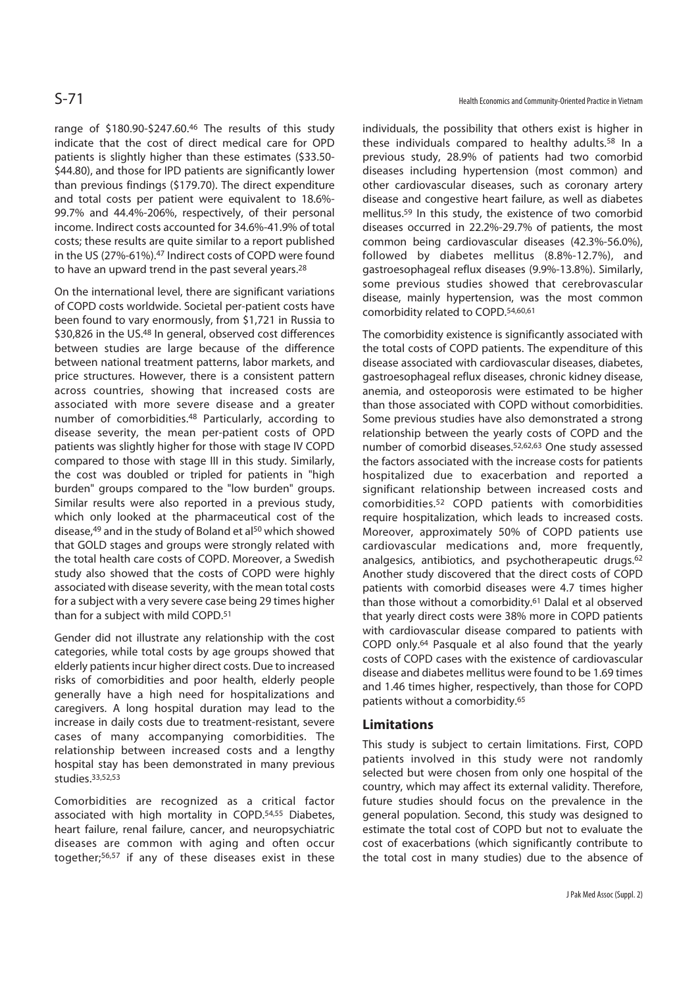range of \$180.90-\$247.60.46 The results of this study indicate that the cost of direct medical care for OPD patients is slightly higher than these estimates (\$33.50- \$44.80), and those for IPD patients are significantly lower than previous findings (\$179.70). The direct expenditure and total costs per patient were equivalent to 18.6%- 99.7% and 44.4%-206%, respectively, of their personal income. Indirect costs accounted for 34.6%-41.9% of total costs; these results are quite similar to a report published in the US (27%-61%).47 Indirect costs of COPD were found to have an upward trend in the past several years.28

On the international level, there are significant variations of COPD costs worldwide. Societal per-patient costs have been found to vary enormously, from \$1,721 in Russia to \$30,826 in the US.48 In general, observed cost differences between studies are large because of the difference between national treatment patterns, labor markets, and price structures. However, there is a consistent pattern across countries, showing that increased costs are associated with more severe disease and a greater number of comorbidities.48 Particularly, according to disease severity, the mean per-patient costs of OPD patients was slightly higher for those with stage IV COPD compared to those with stage III in this study. Similarly, the cost was doubled or tripled for patients in "high burden" groups compared to the "low burden" groups. Similar results were also reported in a previous study, which only looked at the pharmaceutical cost of the disease,<sup>49</sup> and in the study of Boland et al<sup>50</sup> which showed that GOLD stages and groups were strongly related with the total health care costs of COPD. Moreover, a Swedish study also showed that the costs of COPD were highly associated with disease severity, with the mean total costs for a subject with a very severe case being 29 times higher than for a subject with mild COPD.51

Gender did not illustrate any relationship with the cost categories, while total costs by age groups showed that elderly patients incur higher direct costs. Due to increased risks of comorbidities and poor health, elderly people generally have a high need for hospitalizations and caregivers. A long hospital duration may lead to the increase in daily costs due to treatment-resistant, severe cases of many accompanying comorbidities. The relationship between increased costs and a lengthy hospital stay has been demonstrated in many previous  $\frac{1}{10}$ studies. 33,52,53

Comorbidities are recognized as a critical factor associated with high mortality in COPD.54,55 Diabetes, heart failure, renal failure, cancer, and neuropsychiatric diseases are common with aging and often occur together;56,57 if any of these diseases exist in these

individuals, the possibility that others exist is higher in these individuals compared to healthy adults.58 In a previous study, 28.9% of patients had two comorbid diseases including hypertension (most common) and other cardiovascular diseases, such as coronary artery disease and congestive heart failure, as well as diabetes mellitus.59 In this study, the existence of two comorbid diseases occurred in 22.2%-29.7% of patients, the most common being cardiovascular diseases (42.3%-56.0%), followed by diabetes mellitus (8.8%-12.7%), and gastroesophageal reflux diseases (9.9%-13.8%). Similarly, some previous studies showed that cerebrovascular disease, mainly hypertension, was the most common comorbidity related to COPD.54,60,61

The comorbidity existence is significantly associated with the total costs of COPD patients. The expenditure of this disease associated with cardiovascular diseases, diabetes, gastroesophageal reflux diseases, chronic kidney disease, anemia, and osteoporosis were estimated to be higher than those associated with COPD without comorbidities. Some previous studies have also demonstrated a strong relationship between the yearly costs of COPD and the number of comorbid diseases.52,62,63 One study assessed the factors associated with the increase costs for patients hospitalized due to exacerbation and reported a significant relationship between increased costs and comorbidities.52 COPD patients with comorbidities require hospitalization, which leads to increased costs. Moreover, approximately 50% of COPD patients use cardiovascular medications and, more frequently, analgesics, antibiotics, and psychotherapeutic drugs.<sup>62</sup> Another study discovered that the direct costs of COPD patients with comorbid diseases were 4.7 times higher than those without a comorbidity.<sup>61</sup> Dalal et al observed that yearly direct costs were 38% more in COPD patients with cardiovascular disease compared to patients with COPD only.64 Pasquale et al also found that the yearly costs of COPD cases with the existence of cardiovascular disease and diabetes mellitus were found to be 1.69 times and 1.46 times higher, respectively, than those for COPD patients without a comorbidity.65

### **Limitations**

This study is subject to certain limitations. First, COPD patients involved in this study were not randomly selected but were chosen from only one hospital of the country, which may affect its external validity. Therefore, future studies should focus on the prevalence in the general population. Second, this study was designed to estimate the total cost of COPD but not to evaluate the cost of exacerbations (which significantly contribute to the total cost in many studies) due to the absence of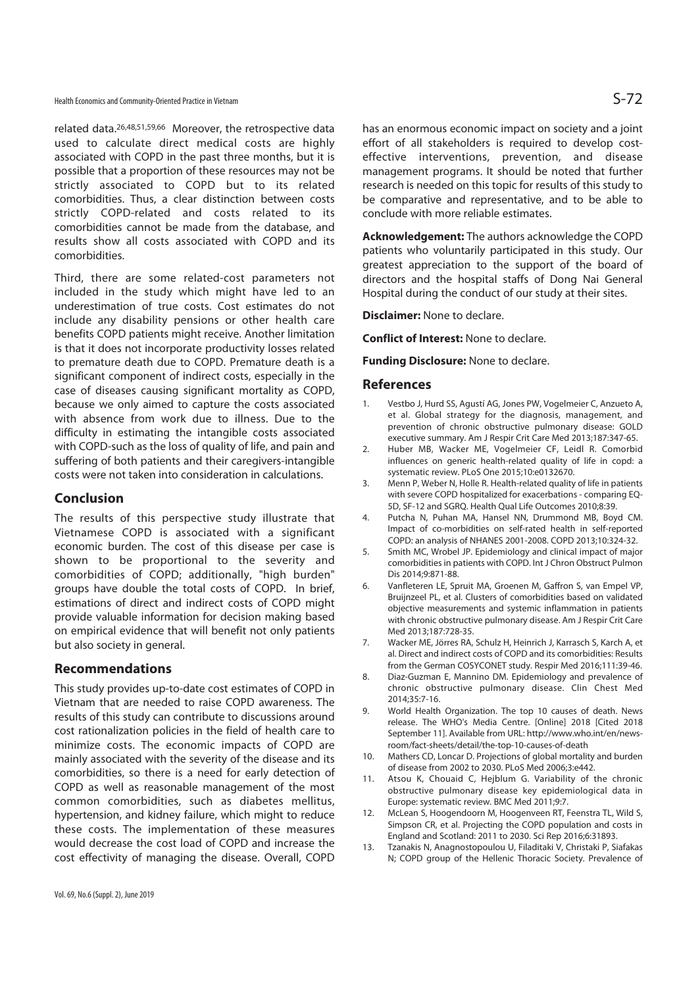related data.26,48,51,59,66 Moreover, the retrospective data used to calculate direct medical costs are highly associated with COPD in the past three months, but it is possible that a proportion of these resources may not be strictly associated to COPD but to its related comorbidities. Thus, a clear distinction between costs strictly COPD-related and costs related to its comorbidities cannot be made from the database, and results show all costs associated with COPD and its comorbidities.

Third, there are some related-cost parameters not included in the study which might have led to an underestimation of true costs. Cost estimates do not include any disability pensions or other health care benefits COPD patients might receive. Another limitation is that it does not incorporate productivity losses related to premature death due to COPD. Premature death is a significant component of indirect costs, especially in the case of diseases causing significant mortality as COPD, because we only aimed to capture the costs associated with absence from work due to illness. Due to the difficulty in estimating the intangible costs associated with COPD-such as the loss of quality of life, and pain and suffering of both patients and their caregivers-intangible costs were not taken into consideration in calculations.

### **Conclusion**

The results of this perspective study illustrate that Vietnamese COPD is associated with a significant economic burden. The cost of this disease per case is shown to be proportional to the severity and comorbidities of COPD; additionally, "high burden" groups have double the total costs of COPD. In brief, estimations of direct and indirect costs of COPD might provide valuable information for decision making based on empirical evidence that will benefit not only patients but also society in general.

### **Recommendations**

This study provides up-to-date cost estimates of COPD in Vietnam that are needed to raise COPD awareness. The results of this study can contribute to discussions around cost rationalization policies in the field of health care to minimize costs. The economic impacts of COPD are mainly associated with the severity of the disease and its comorbidities, so there is a need for early detection of COPD as well as reasonable management of the most common comorbidities, such as diabetes mellitus, hypertension, and kidney failure, which might to reduce these costs. The implementation of these measures would decrease the cost load of COPD and increase the cost effectivity of managing the disease. Overall, COPD

has an enormous economic impact on society and a joint effort of all stakeholders is required to develop costeffective interventions, prevention, and disease management programs. It should be noted that further research is needed on this topic for results of this study to be comparative and representative, and to be able to conclude with more reliable estimates.

**Acknowledgement:** The authors acknowledge the COPD patients who voluntarily participated in this study. Our greatest appreciation to the support of the board of directors and the hospital staffs of Dong Nai General Hospital during the conduct of our study at their sites.

**Disclaimer:** None to declare.

**Conflict of Interest:** None to declare.

**Funding Disclosure:** None to declare.

### **References**

- 1. Vestbo J, Hurd SS, Agustí AG, Jones PW, Vogelmeier C, Anzueto A, et al. Global strategy for the diagnosis, management, and prevention of chronic obstructive pulmonary disease: GOLD executive summary. Am J Respir Crit Care Med 2013;187:347-65.
- 2. Huber MB, Wacker ME, Vogelmeier CF, Leidl R. Comorbid influences on generic health-related quality of life in copd: a systematic review. PLoS One 2015;10:e0132670.
- 3. Menn P, Weber N, Holle R. Health-related quality of life in patients with severe COPD hospitalized for exacerbations - comparing EQ-5D, SF-12 and SGRQ. Health Qual Life Outcomes 2010;8:39.
- 4. Putcha N, Puhan MA, Hansel NN, Drummond MB, Boyd CM. Impact of co-morbidities on self-rated health in self-reported COPD: an analysis of NHANES 2001-2008. COPD 2013;10:324-32.
- 5. Smith MC, Wrobel JP. Epidemiology and clinical impact of major comorbidities in patients with COPD. Int J Chron Obstruct Pulmon Dis 2014;9:871-88.
- 6. Vanfleteren LE, Spruit MA, Groenen M, Gaffron S, van Empel VP, Bruijnzeel PL, et al. Clusters of comorbidities based on validated objective measurements and systemic inflammation in patients with chronic obstructive pulmonary disease. Am J Respir Crit Care Med 2013;187:728-35.
- 7. Wacker ME, Jörres RA, Schulz H, Heinrich J, Karrasch S, Karch A, et al. Direct and indirect costs of COPD and its comorbidities: Results from the German COSYCONET study. Respir Med 2016;111:39-46.
- 8. Diaz-Guzman E, Mannino DM. Epidemiology and prevalence of chronic obstructive pulmonary disease. Clin Chest Med 2014;35:7-16.
- 9. World Health Organization. The top 10 causes of death. News release. The WHO's Media Centre. [Online] 2018 [Cited 2018 September 11]. Available from URL: http://www.who.int/en/newsroom/fact-sheets/detail/the-top-10-causes-of-death
- 10. Mathers CD, Loncar D. Projections of global mortality and burden of disease from 2002 to 2030. PLoS Med 2006;3:e442.
- 11. Atsou K, Chouaid C, Hejblum G. Variability of the chronic obstructive pulmonary disease key epidemiological data in Europe: systematic review. BMC Med 2011;9:7.
- 12. McLean S, Hoogendoorn M, Hoogenveen RT, Feenstra TL, Wild S, Simpson CR, et al. Projecting the COPD population and costs in England and Scotland: 2011 to 2030. Sci Rep 2016;6:31893.
- 13. Tzanakis N, Anagnostopoulou U, Filaditaki V, Christaki P, Siafakas N; COPD group of the Hellenic Thoracic Society. Prevalence of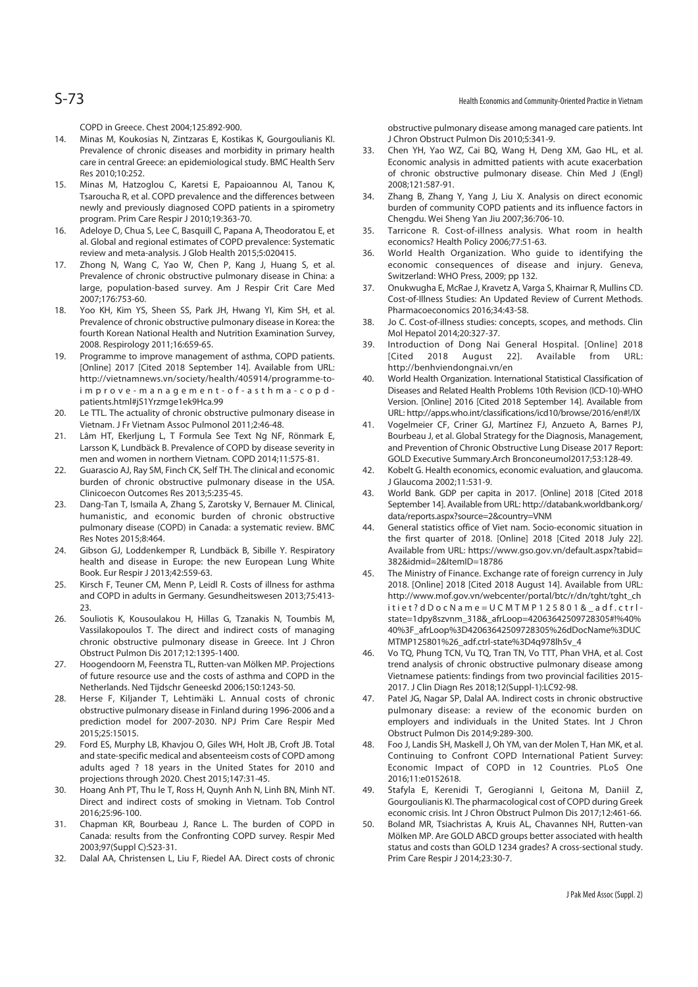COPD in Greece. Chest 2004;125:892-900.

- 14. Minas M, Koukosias N, Zintzaras E, Kostikas K, Gourgoulianis KI. Prevalence of chronic diseases and morbidity in primary health care in central Greece: an epidemiological study. BMC Health Serv Res 2010;10:252.
- 15. Minas M, Hatzoglou C, Karetsi E, Papaioannou AI, Tanou K, Tsaroucha R, et al. COPD prevalence and the differences between newly and previously diagnosed COPD patients in a spirometry program. Prim Care Respir J 2010;19:363-70.
- 16. Adeloye D, Chua S, Lee C, Basquill C, Papana A, Theodoratou E, et al. Global and regional estimates of COPD prevalence: Systematic review and meta-analysis. J Glob Health 2015;5:020415.
- 17. Zhong N, Wang C, Yao W, Chen P, Kang J, Huang S, et al. Prevalence of chronic obstructive pulmonary disease in China: a large, population-based survey. Am J Respir Crit Care Med 2007;176:753-60.
- 18. Yoo KH, Kim YS, Sheen SS, Park JH, Hwang YI, Kim SH, et al. Prevalence of chronic obstructive pulmonary disease in Korea: the fourth Korean National Health and Nutrition Examination Survey, 2008. Respirology 2011;16:659-65.
- 19. Programme to improve management of asthma, COPD patients. [Online] 2017 [Cited 2018 September 14]. Available from URL: http://vietnamnews.vn/society/health/405914/programme-toimprove-management-of-asthma-copdpatients.html#jS1Yrzmge1ek9Hca.99
- 20. Le TTL. The actuality of chronic obstructive pulmonary disease in Vietnam. J Fr Vietnam Assoc Pulmonol 2011;2:46-48.
- 21. Lâm HT, Ekerljung L, T Formula See Text Ng NF, Rönmark E, Larsson K, Lundbäck B. Prevalence of COPD by disease severity in men and women in northern Vietnam. COPD 2014;11:575-81.
- 22. Guarascio AJ, Ray SM, Finch CK, Self TH. The clinical and economic burden of chronic obstructive pulmonary disease in the USA. Clinicoecon Outcomes Res 2013;5:235-45.
- 23. Dang-Tan T, Ismaila A, Zhang S, Zarotsky V, Bernauer M. Clinical, humanistic, and economic burden of chronic obstructive pulmonary disease (COPD) in Canada: a systematic review. BMC Res Notes 2015;8:464.
- 24. Gibson GJ, Loddenkemper R, Lundbäck B, Sibille Y. Respiratory health and disease in Europe: the new European Lung White Book. Eur Respir J 2013;42:559-63.
- 25. Kirsch F, Teuner CM, Menn P, Leidl R. Costs of illness for asthma and COPD in adults in Germany. Gesundheitswesen 2013;75:413- 23.
- 26. Souliotis K, Kousoulakou H, Hillas G, Tzanakis N, Toumbis M, Vassilakopoulos T. The direct and indirect costs of managing chronic obstructive pulmonary disease in Greece. Int J Chron Obstruct Pulmon Dis 2017;12:1395-1400.
- 27. Hoogendoorn M, Feenstra TL, Rutten-van Mölken MP. Projections of future resource use and the costs of asthma and COPD in the Netherlands. Ned Tijdschr Geneeskd 2006;150:1243-50.
- 28. Herse F, Kiljander T, Lehtimäki L. Annual costs of chronic obstructive pulmonary disease in Finland during 1996-2006 and a prediction model for 2007-2030. NPJ Prim Care Respir Med 2015;25:15015.
- 29. Ford ES, Murphy LB, Khavjou O, Giles WH, Holt JB, Croft JB. Total and state-specific medical and absenteeism costs of COPD among adults aged ? 18 years in the United States for 2010 and projections through 2020. Chest 2015;147:31-45.
- 30. Hoang Anh PT, Thu le T, Ross H, Quynh Anh N, Linh BN, Minh NT. Direct and indirect costs of smoking in Vietnam. Tob Control 2016;25:96-100.
- 31. Chapman KR, Bourbeau J, Rance L. The burden of COPD in Canada: results from the Confronting COPD survey. Respir Med 2003;97(Suppl C):S23-31.
- 32. Dalal AA, Christensen L, Liu F, Riedel AA. Direct costs of chronic

obstructive pulmonary disease among managed care patients. Int J Chron Obstruct Pulmon Dis 2010;5:341-9.

- 33. Chen YH, Yao WZ, Cai BQ, Wang H, Deng XM, Gao HL, et al. Economic analysis in admitted patients with acute exacerbation of chronic obstructive pulmonary disease. Chin Med J (Engl) 2008;121:587-91.
- 34. Zhang B, Zhang Y, Yang J, Liu X. Analysis on direct economic burden of community COPD patients and its influence factors in Chengdu. Wei Sheng Yan Jiu 2007;36:706-10.
- 35. Tarricone R. Cost-of-illness analysis. What room in health economics? Health Policy 2006;77:51-63.
- 36. World Health Organization. Who guide to identifying the economic consequences of disease and injury. Geneva, Switzerland: WHO Press, 2009; pp 132.
- 37. Onukwugha E, McRae J, Kravetz A, Varga S, Khairnar R, Mullins CD. Cost-of-Illness Studies: An Updated Review of Current Methods. Pharmacoeconomics 2016;34:43-58.
- 38. Jo C. Cost-of-illness studies: concepts, scopes, and methods. Clin Mol Hepatol 2014;20:327-37.
- 39. Introduction of Dong Nai General Hospital. [Online] 2018 [Cited 2018 August 22]. Available from URL: http://benhviendongnai.vn/en
- 40. World Health Organization. International Statistical Classification of Diseases and Related Health Problems 10th Revision (ICD-10)-WHO Version. [Online] 2016 [Cited 2018 September 14]. Available from URL: http://apps.who.int/classifications/icd10/browse/2016/en#!/IX
- 41. Vogelmeier CF, Criner GJ, Martínez FJ, Anzueto A, Barnes PJ, Bourbeau J, et al. Global Strategy for the Diagnosis, Management, and Prevention of Chronic Obstructive Lung Disease 2017 Report: GOLD Executive Summary.Arch Bronconeumol2017;53:128-49.
- 42. Kobelt G. Health economics, economic evaluation, and glaucoma. J Glaucoma 2002;11:531-9.
- 43. World Bank. GDP per capita in 2017. [Online] 2018 [Cited 2018 September 14]. Available from URL: http://databank.worldbank.org/ data/reports.aspx?source=2&country=VNM
- 44. General statistics office of Viet nam. Socio-economic situation in the first quarter of 2018. [Online] 2018 [Cited 2018 July 22]. Available from URL: https://www.gso.gov.vn/default.aspx?tabid= 382&idmid=2&ItemID=18786
- 45. The Ministry of Finance. Exchange rate of foreign currency in July 2018. [Online] 2018 [Cited 2018 August 14]. Available from URL: http://www.mof.gov.yn/webcenter/portal/btc/r/dn/tght/tght\_ch itiet?dDocName=UCMTMP125801&\_adf.ctrlstate=1dpy8szvnm\_318&\_afrLoop=42063642509728305#!%40% 40%3F\_afrLoop%3D42063642509728305%26dDocName%3DUC MTMP125801%26\_adf.ctrl-state%3D4q978lh5v\_4
- 46. Vo TQ, Phung TCN, Vu TQ, Tran TN, Vo TTT, Phan VHA, et al. Cost trend analysis of chronic obstructive pulmonary disease among Vietnamese patients: findings from two provincial facilities 2015- 2017. J Clin Diagn Res 2018;12(Suppl-1):LC92-98.
- 47. Patel JG, Nagar SP, Dalal AA. Indirect costs in chronic obstructive pulmonary disease: a review of the economic burden on employers and individuals in the United States. Int J Chron Obstruct Pulmon Dis 2014;9:289-300.
- 48. Foo J, Landis SH, Maskell J, Oh YM, van der Molen T, Han MK, et al. Continuing to Confront COPD International Patient Survey: Economic Impact of COPD in 12 Countries. PLoS One 2016;11:e0152618.
- 49. Stafyla E, Kerenidi T, Gerogianni I, Geitona M, Daniil Z, Gourgoulianis KI. The pharmacological cost of COPD during Greek economic crisis. Int J Chron Obstruct Pulmon Dis 2017;12:461-66.
- 50. Boland MR, Tsiachristas A, Kruis AL, Chavannes NH, Rutten-van Mölken MP. Are GOLD ABCD groups better associated with health status and costs than GOLD 1234 grades? A cross-sectional study. Prim Care Respir J 2014;23:30-7.